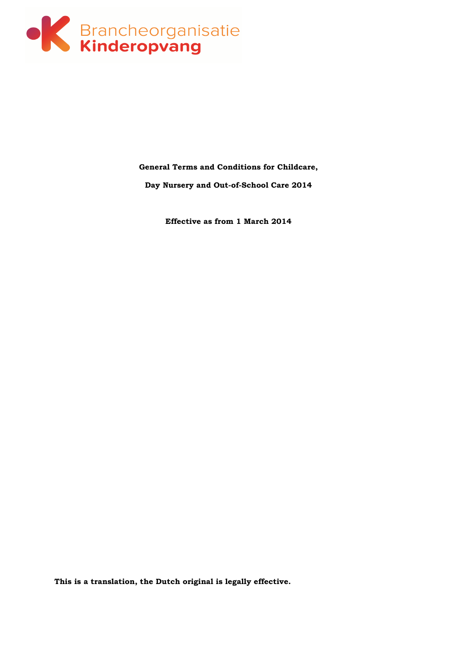

**General Terms and Conditions for Childcare,** 

**Day Nursery and Out-of-School Care 2014** 

**Effective as from 1 March 2014** 

**This is a translation, the Dutch original is legally effective.**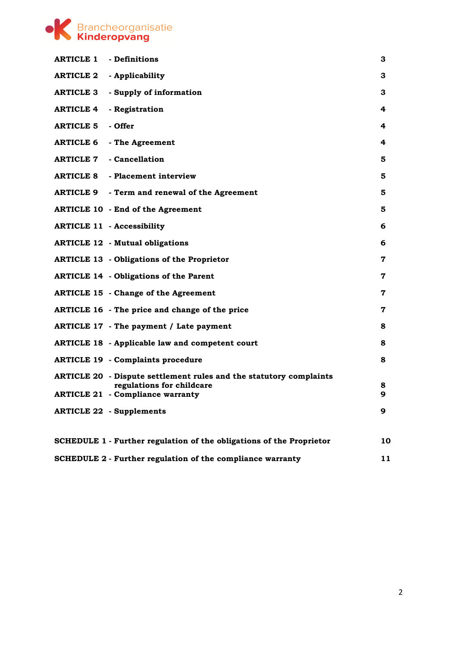

| <b>ARTICLE 1 - Definitions</b> |                                                                           | 3           |
|--------------------------------|---------------------------------------------------------------------------|-------------|
|                                | <b>ARTICLE 2</b> - Applicability                                          | 3.          |
| <b>ARTICLE 3</b>               | - Supply of information                                                   | 3           |
| <b>ARTICLE 4</b>               | - Registration                                                            | 4           |
| <b>ARTICLE 5</b>               | - Offer                                                                   | 4           |
|                                | <b>ARTICLE 6 - The Agreement</b>                                          | 4           |
|                                | <b>ARTICLE 7 - Cancellation</b>                                           | 5           |
|                                | <b>ARTICLE 8 - Placement interview</b>                                    | 5           |
|                                | ARTICLE 9 - Term and renewal of the Agreement                             | 5.          |
|                                | <b>ARTICLE 10 - End of the Agreement</b>                                  | 5           |
|                                | <b>ARTICLE 11 - Accessibility</b>                                         | 6           |
|                                | <b>ARTICLE 12 - Mutual obligations</b>                                    | 6           |
|                                | <b>ARTICLE 13 - Obligations of the Proprietor</b>                         | 7           |
|                                | <b>ARTICLE 14 - Obligations of the Parent</b>                             | 7           |
|                                | <b>ARTICLE 15 - Change of the Agreement</b>                               | 7           |
|                                | ARTICLE 16 - The price and change of the price                            | $\mathbf 7$ |
|                                | ARTICLE 17 - The payment / Late payment                                   | 8           |
|                                | <b>ARTICLE 18 - Applicable law and competent court</b>                    | 8           |
|                                | <b>ARTICLE 19 - Complaints procedure</b>                                  | 8           |
|                                | <b>ARTICLE 20 - Dispute settlement rules and the statutory complaints</b> |             |
|                                | regulations for childcare<br><b>ARTICLE 21 - Compliance warranty</b>      | 8<br>9      |
|                                | <b>ARTICLE 22 - Supplements</b>                                           | 9           |
|                                | SCHEDULE 1 - Further regulation of the obligations of the Proprietor      | 10          |
|                                | SCHEDULE 2 - Further regulation of the compliance warranty                | 11          |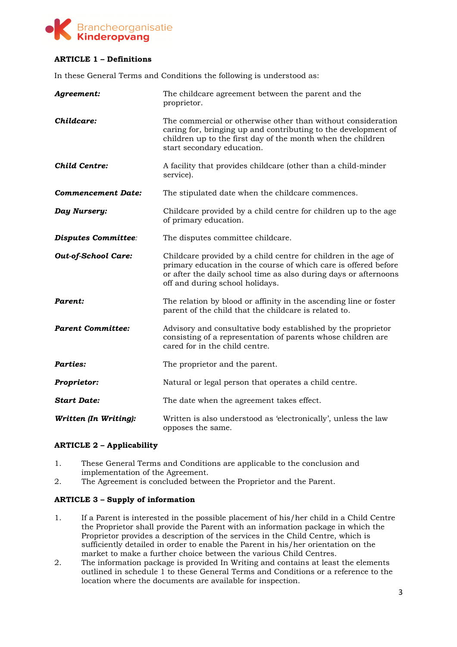

## **ARTICLE 1 – Definitions**

In these General Terms and Conditions the following is understood as:

| Agreement:                 | The childcare agreement between the parent and the<br>proprietor.                                                                                                                                                                         |
|----------------------------|-------------------------------------------------------------------------------------------------------------------------------------------------------------------------------------------------------------------------------------------|
| Childcare:                 | The commercial or otherwise other than without consideration<br>caring for, bringing up and contributing to the development of<br>children up to the first day of the month when the children<br>start secondary education.               |
| <b>Child Centre:</b>       | A facility that provides childcare (other than a child-minder<br>service).                                                                                                                                                                |
| <b>Commencement Date:</b>  | The stipulated date when the childcare commences.                                                                                                                                                                                         |
| Day Nursery:               | Childcare provided by a child centre for children up to the age<br>of primary education.                                                                                                                                                  |
| <b>Disputes Committee:</b> | The disputes committee childcare.                                                                                                                                                                                                         |
| <b>Out-of-School Care:</b> | Childcare provided by a child centre for children in the age of<br>primary education in the course of which care is offered before<br>or after the daily school time as also during days or afternoons<br>off and during school holidays. |
| Parent:                    | The relation by blood or affinity in the ascending line or foster<br>parent of the child that the childcare is related to.                                                                                                                |
| <b>Parent Committee:</b>   | Advisory and consultative body established by the proprietor<br>consisting of a representation of parents whose children are<br>cared for in the child centre.                                                                            |
| <b>Parties:</b>            | The proprietor and the parent.                                                                                                                                                                                                            |
| Proprietor:                | Natural or legal person that operates a child centre.                                                                                                                                                                                     |
| <b>Start Date:</b>         | The date when the agreement takes effect.                                                                                                                                                                                                 |
| Written (In Writing):      | Written is also understood as 'electronically', unless the law<br>opposes the same.                                                                                                                                                       |

### **ARTICLE 2 – Applicability**

- 1. These General Terms and Conditions are applicable to the conclusion and implementation of the Agreement.
- 2. The Agreement is concluded between the Proprietor and the Parent.

### **ARTICLE 3 – Supply of information**

- 1. If a Parent is interested in the possible placement of his/her child in a Child Centre the Proprietor shall provide the Parent with an information package in which the Proprietor provides a description of the services in the Child Centre, which is sufficiently detailed in order to enable the Parent in his/her orientation on the market to make a further choice between the various Child Centres.
- 2. The information package is provided In Writing and contains at least the elements outlined in schedule 1 to these General Terms and Conditions or a reference to the location where the documents are available for inspection.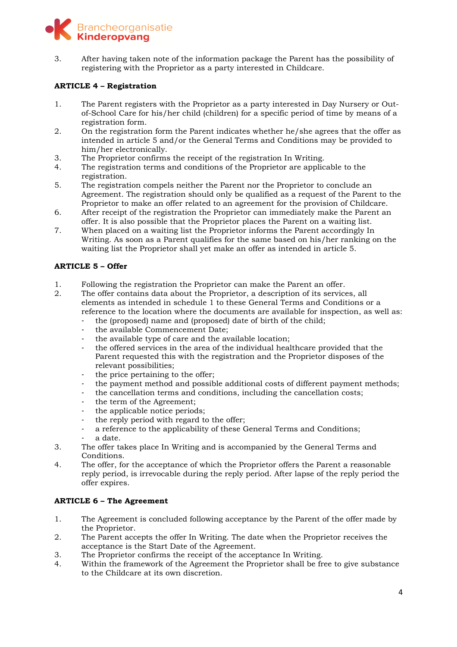

3. After having taken note of the information package the Parent has the possibility of registering with the Proprietor as a party interested in Childcare.

### **ARTICLE 4 – Registration**

- 1. The Parent registers with the Proprietor as a party interested in Day Nursery or Outof-School Care for his/her child (children) for a specific period of time by means of a registration form.
- 2. On the registration form the Parent indicates whether he/she agrees that the offer as intended in article 5 and/or the General Terms and Conditions may be provided to him/her electronically.
- 3. The Proprietor confirms the receipt of the registration In Writing.
- 4. The registration terms and conditions of the Proprietor are applicable to the registration.
- 5. The registration compels neither the Parent nor the Proprietor to conclude an Agreement. The registration should only be qualified as a request of the Parent to the Proprietor to make an offer related to an agreement for the provision of Childcare.
- 6. After receipt of the registration the Proprietor can immediately make the Parent an offer. It is also possible that the Proprietor places the Parent on a waiting list.
- 7. When placed on a waiting list the Proprietor informs the Parent accordingly In Writing. As soon as a Parent qualifies for the same based on his/her ranking on the waiting list the Proprietor shall yet make an offer as intended in article 5.

### **ARTICLE 5 – Offer**

- 1. Following the registration the Proprietor can make the Parent an offer.
- 2. The offer contains data about the Proprietor, a description of its services, all elements as intended in schedule 1 to these General Terms and Conditions or a reference to the location where the documents are available for inspection, as well as:
	- the (proposed) name and (proposed) date of birth of the child;
		- the available Commencement Date;
	- the available type of care and the available location;
	- the offered services in the area of the individual healthcare provided that the Parent requested this with the registration and the Proprietor disposes of the relevant possibilities;
	- the price pertaining to the offer;
	- the payment method and possible additional costs of different payment methods;
	- the cancellation terms and conditions, including the cancellation costs;
	- the term of the Agreement;
	- the applicable notice periods;
	- the reply period with regard to the offer;
	- a reference to the applicability of these General Terms and Conditions;
	- a date.
- 3. The offer takes place In Writing and is accompanied by the General Terms and Conditions.
- 4. The offer, for the acceptance of which the Proprietor offers the Parent a reasonable reply period, is irrevocable during the reply period. After lapse of the reply period the offer expires.

### **ARTICLE 6 – The Agreement**

- 1. The Agreement is concluded following acceptance by the Parent of the offer made by the Proprietor.
- 2. The Parent accepts the offer In Writing. The date when the Proprietor receives the acceptance is the Start Date of the Agreement.
- 3. The Proprietor confirms the receipt of the acceptance In Writing.
- 4. Within the framework of the Agreement the Proprietor shall be free to give substance to the Childcare at its own discretion.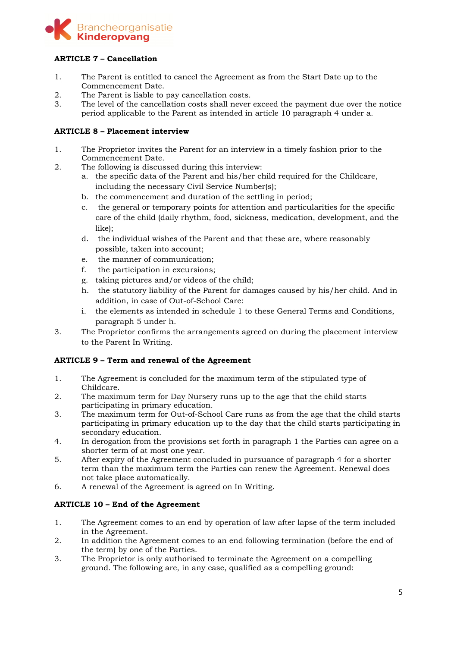

## **ARTICLE 7 – Cancellation**

- 1. The Parent is entitled to cancel the Agreement as from the Start Date up to the Commencement Date.
- 2. The Parent is liable to pay cancellation costs.
- 3. The level of the cancellation costs shall never exceed the payment due over the notice period applicable to the Parent as intended in article 10 paragraph 4 under a.

### **ARTICLE 8 – Placement interview**

- 1. The Proprietor invites the Parent for an interview in a timely fashion prior to the Commencement Date.
- 2. The following is discussed during this interview:
	- a. the specific data of the Parent and his/her child required for the Childcare, including the necessary Civil Service Number(s);
	- b. the commencement and duration of the settling in period;
	- c. the general or temporary points for attention and particularities for the specific care of the child (daily rhythm, food, sickness, medication, development, and the like);
	- d. the individual wishes of the Parent and that these are, where reasonably possible, taken into account;
	- e. the manner of communication;
	- f. the participation in excursions;
	- g. taking pictures and/or videos of the child;
	- h. the statutory liability of the Parent for damages caused by his/her child. And in addition, in case of Out-of-School Care:
	- i. the elements as intended in schedule 1 to these General Terms and Conditions, paragraph 5 under h.
- 3. The Proprietor confirms the arrangements agreed on during the placement interview to the Parent In Writing.

### **ARTICLE 9 – Term and renewal of the Agreement**

- 1. The Agreement is concluded for the maximum term of the stipulated type of Childcare.
- 2. The maximum term for Day Nursery runs up to the age that the child starts participating in primary education.
- 3. The maximum term for Out-of-School Care runs as from the age that the child starts participating in primary education up to the day that the child starts participating in secondary education.
- 4. In derogation from the provisions set forth in paragraph 1 the Parties can agree on a shorter term of at most one year.
- 5. After expiry of the Agreement concluded in pursuance of paragraph 4 for a shorter term than the maximum term the Parties can renew the Agreement. Renewal does not take place automatically.
- 6. A renewal of the Agreement is agreed on In Writing.

## **ARTICLE 10 – End of the Agreement**

- 1. The Agreement comes to an end by operation of law after lapse of the term included in the Agreement.
- 2. In addition the Agreement comes to an end following termination (before the end of the term) by one of the Parties.
- 3. The Proprietor is only authorised to terminate the Agreement on a compelling ground. The following are, in any case, qualified as a compelling ground: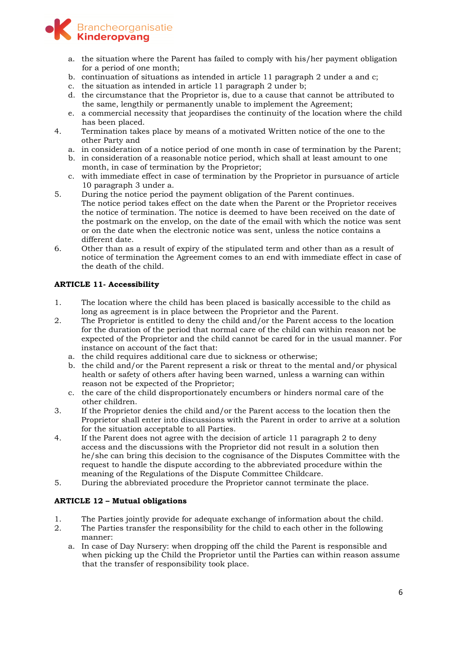

- a. the situation where the Parent has failed to comply with his/her payment obligation for a period of one month;
- b. continuation of situations as intended in article 11 paragraph 2 under a and c;
- c. the situation as intended in article 11 paragraph 2 under b;
- d. the circumstance that the Proprietor is, due to a cause that cannot be attributed to the same, lengthily or permanently unable to implement the Agreement;
- e. a commercial necessity that jeopardises the continuity of the location where the child has been placed.
- 4. Termination takes place by means of a motivated Written notice of the one to the other Party and
	- a. in consideration of a notice period of one month in case of termination by the Parent;
	- b. in consideration of a reasonable notice period, which shall at least amount to one month, in case of termination by the Proprietor;
	- c. with immediate effect in case of termination by the Proprietor in pursuance of article 10 paragraph 3 under a.
- 5. During the notice period the payment obligation of the Parent continues. The notice period takes effect on the date when the Parent or the Proprietor receives the notice of termination. The notice is deemed to have been received on the date of the postmark on the envelop, on the date of the email with which the notice was sent or on the date when the electronic notice was sent, unless the notice contains a different date.
- 6. Other than as a result of expiry of the stipulated term and other than as a result of notice of termination the Agreement comes to an end with immediate effect in case of the death of the child.

# **ARTICLE 11- Accessibility**

- 1. The location where the child has been placed is basically accessible to the child as long as agreement is in place between the Proprietor and the Parent.
- 2. The Proprietor is entitled to deny the child and/or the Parent access to the location for the duration of the period that normal care of the child can within reason not be expected of the Proprietor and the child cannot be cared for in the usual manner. For instance on account of the fact that:
	- a. the child requires additional care due to sickness or otherwise;
	- b. the child and/or the Parent represent a risk or threat to the mental and/or physical health or safety of others after having been warned, unless a warning can within reason not be expected of the Proprietor;
	- c. the care of the child disproportionately encumbers or hinders normal care of the other children.
- 3. If the Proprietor denies the child and/or the Parent access to the location then the Proprietor shall enter into discussions with the Parent in order to arrive at a solution for the situation acceptable to all Parties.
- 4. If the Parent does not agree with the decision of article 11 paragraph 2 to deny access and the discussions with the Proprietor did not result in a solution then he/she can bring this decision to the cognisance of the Disputes Committee with the request to handle the dispute according to the abbreviated procedure within the meaning of the Regulations of the Dispute Committee Childcare.
- 5. During the abbreviated procedure the Proprietor cannot terminate the place.

## **ARTICLE 12 – Mutual obligations**

- 1. The Parties jointly provide for adequate exchange of information about the child.
- 2. The Parties transfer the responsibility for the child to each other in the following manner:
	- a. In case of Day Nursery: when dropping off the child the Parent is responsible and when picking up the Child the Proprietor until the Parties can within reason assume that the transfer of responsibility took place.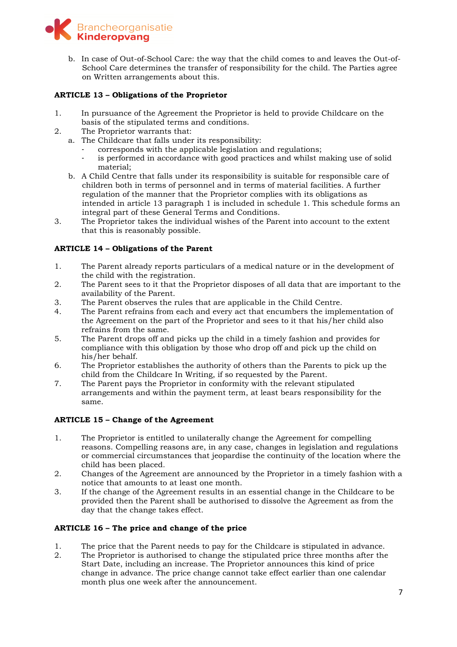

b. In case of Out-of-School Care: the way that the child comes to and leaves the Out-of-School Care determines the transfer of responsibility for the child. The Parties agree on Written arrangements about this.

### **ARTICLE 13 – Obligations of the Proprietor**

- 1. In pursuance of the Agreement the Proprietor is held to provide Childcare on the basis of the stipulated terms and conditions.
- 2. The Proprietor warrants that:
	- a. The Childcare that falls under its responsibility:
		- corresponds with the applicable legislation and regulations;
		- is performed in accordance with good practices and whilst making use of solid material;
	- b. A Child Centre that falls under its responsibility is suitable for responsible care of children both in terms of personnel and in terms of material facilities. A further regulation of the manner that the Proprietor complies with its obligations as intended in article 13 paragraph 1 is included in schedule 1. This schedule forms an integral part of these General Terms and Conditions.
- 3. The Proprietor takes the individual wishes of the Parent into account to the extent that this is reasonably possible.

### **ARTICLE 14 – Obligations of the Parent**

- 1. The Parent already reports particulars of a medical nature or in the development of the child with the registration.
- 2. The Parent sees to it that the Proprietor disposes of all data that are important to the availability of the Parent.
- 3. The Parent observes the rules that are applicable in the Child Centre.
- 4. The Parent refrains from each and every act that encumbers the implementation of the Agreement on the part of the Proprietor and sees to it that his/her child also refrains from the same.
- 5. The Parent drops off and picks up the child in a timely fashion and provides for compliance with this obligation by those who drop off and pick up the child on his/her behalf.
- 6. The Proprietor establishes the authority of others than the Parents to pick up the child from the Childcare In Writing, if so requested by the Parent.
- 7. The Parent pays the Proprietor in conformity with the relevant stipulated arrangements and within the payment term, at least bears responsibility for the same.

### **ARTICLE 15 – Change of the Agreement**

- 1. The Proprietor is entitled to unilaterally change the Agreement for compelling reasons. Compelling reasons are, in any case, changes in legislation and regulations or commercial circumstances that jeopardise the continuity of the location where the child has been placed*.*
- 2. Changes of the Agreement are announced by the Proprietor in a timely fashion with a notice that amounts to at least one month.
- 3. If the change of the Agreement results in an essential change in the Childcare to be provided then the Parent shall be authorised to dissolve the Agreement as from the day that the change takes effect.

### **ARTICLE 16 – The price and change of the price**

- 1. The price that the Parent needs to pay for the Childcare is stipulated in advance.
- 2. The Proprietor is authorised to change the stipulated price three months after the Start Date, including an increase. The Proprietor announces this kind of price change in advance. The price change cannot take effect earlier than one calendar month plus one week after the announcement.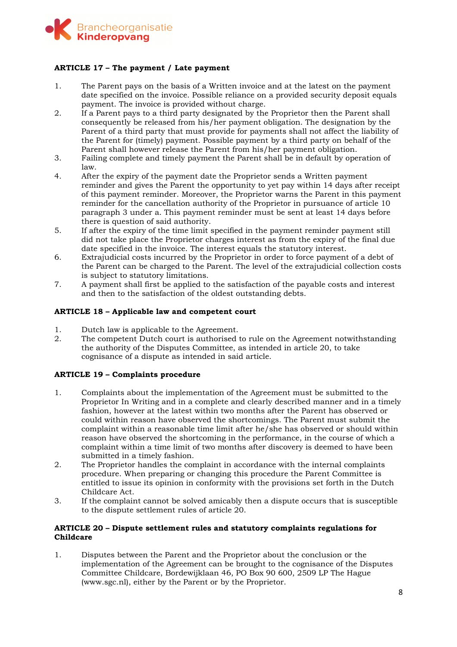

### **ARTICLE 17 – The payment / Late payment**

- 1. The Parent pays on the basis of a Written invoice and at the latest on the payment date specified on the invoice. Possible reliance on a provided security deposit equals payment. The invoice is provided without charge.
- 2. If a Parent pays to a third party designated by the Proprietor then the Parent shall consequently be released from his/her payment obligation. The designation by the Parent of a third party that must provide for payments shall not affect the liability of the Parent for (timely) payment. Possible payment by a third party on behalf of the Parent shall however release the Parent from his/her payment obligation.
- 3. Failing complete and timely payment the Parent shall be in default by operation of law.
- 4. After the expiry of the payment date the Proprietor sends a Written payment reminder and gives the Parent the opportunity to yet pay within 14 days after receipt of this payment reminder. Moreover, the Proprietor warns the Parent in this payment reminder for the cancellation authority of the Proprietor in pursuance of article 10 paragraph 3 under a. This payment reminder must be sent at least 14 days before there is question of said authority.
- 5. If after the expiry of the time limit specified in the payment reminder payment still did not take place the Proprietor charges interest as from the expiry of the final due date specified in the invoice. The interest equals the statutory interest.
- 6. Extrajudicial costs incurred by the Proprietor in order to force payment of a debt of the Parent can be charged to the Parent. The level of the extrajudicial collection costs is subject to statutory limitations.
- 7. A payment shall first be applied to the satisfaction of the payable costs and interest and then to the satisfaction of the oldest outstanding debts.

### **ARTICLE 18 – Applicable law and competent court**

- 1. Dutch law is applicable to the Agreement.
- 2. The competent Dutch court is authorised to rule on the Agreement notwithstanding the authority of the Disputes Committee, as intended in article 20, to take cognisance of a dispute as intended in said article.

### **ARTICLE 19 – Complaints procedure**

- 1. Complaints about the implementation of the Agreement must be submitted to the Proprietor In Writing and in a complete and clearly described manner and in a timely fashion, however at the latest within two months after the Parent has observed or could within reason have observed the shortcomings. The Parent must submit the complaint within a reasonable time limit after he/she has observed or should within reason have observed the shortcoming in the performance, in the course of which a complaint within a time limit of two months after discovery is deemed to have been submitted in a timely fashion.
- 2. The Proprietor handles the complaint in accordance with the internal complaints procedure. When preparing or changing this procedure the Parent Committee is entitled to issue its opinion in conformity with the provisions set forth in the Dutch Childcare Act.
- 3. If the complaint cannot be solved amicably then a dispute occurs that is susceptible to the dispute settlement rules of article 20.

### **ARTICLE 20 – Dispute settlement rules and statutory complaints regulations for Childcare**

1. Disputes between the Parent and the Proprietor about the conclusion or the implementation of the Agreement can be brought to the cognisance of the Disputes Committee Childcare, Bordewijklaan 46, PO Box 90 600, 2509 LP The Hague (www.sgc.nl), either by the Parent or by the Proprietor.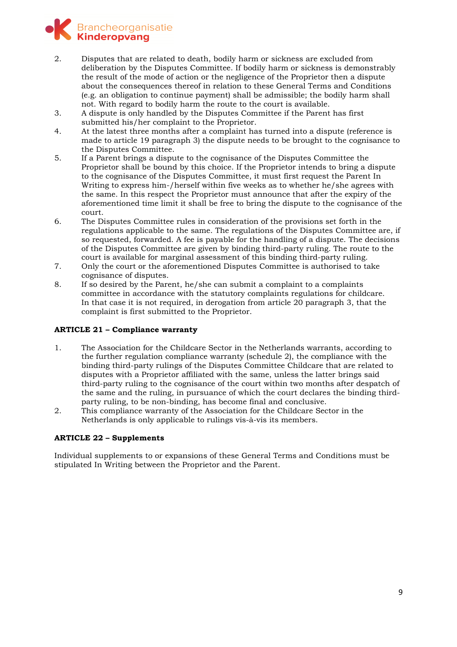

- 2. Disputes that are related to death, bodily harm or sickness are excluded from deliberation by the Disputes Committee. If bodily harm or sickness is demonstrably the result of the mode of action or the negligence of the Proprietor then a dispute about the consequences thereof in relation to these General Terms and Conditions (e.g. an obligation to continue payment) shall be admissible; the bodily harm shall not. With regard to bodily harm the route to the court is available.
- 3. A dispute is only handled by the Disputes Committee if the Parent has first submitted his/her complaint to the Proprietor.
- 4. At the latest three months after a complaint has turned into a dispute (reference is made to article 19 paragraph 3) the dispute needs to be brought to the cognisance to the Disputes Committee.
- 5. If a Parent brings a dispute to the cognisance of the Disputes Committee the Proprietor shall be bound by this choice. If the Proprietor intends to bring a dispute to the cognisance of the Disputes Committee, it must first request the Parent In Writing to express him-/herself within five weeks as to whether he/she agrees with the same. In this respect the Proprietor must announce that after the expiry of the aforementioned time limit it shall be free to bring the dispute to the cognisance of the court.
- 6. The Disputes Committee rules in consideration of the provisions set forth in the regulations applicable to the same. The regulations of the Disputes Committee are, if so requested, forwarded. A fee is payable for the handling of a dispute. The decisions of the Disputes Committee are given by binding third-party ruling. The route to the court is available for marginal assessment of this binding third-party ruling.
- 7. Only the court or the aforementioned Disputes Committee is authorised to take cognisance of disputes.
- 8. If so desired by the Parent, he/she can submit a complaint to a complaints committee in accordance with the statutory complaints regulations for childcare. In that case it is not required, in derogation from article 20 paragraph 3, that the complaint is first submitted to the Proprietor.

### **ARTICLE 21 – Compliance warranty**

- 1. The Association for the Childcare Sector in the Netherlands warrants, according to the further regulation compliance warranty (schedule 2), the compliance with the binding third-party rulings of the Disputes Committee Childcare that are related to disputes with a Proprietor affiliated with the same, unless the latter brings said third-party ruling to the cognisance of the court within two months after despatch of the same and the ruling, in pursuance of which the court declares the binding thirdparty ruling, to be non-binding, has become final and conclusive.
- 2. This compliance warranty of the Association for the Childcare Sector in the Netherlands is only applicable to rulings vis-à-vis its members.

### **ARTICLE 22 – Supplements**

Individual supplements to or expansions of these General Terms and Conditions must be stipulated In Writing between the Proprietor and the Parent.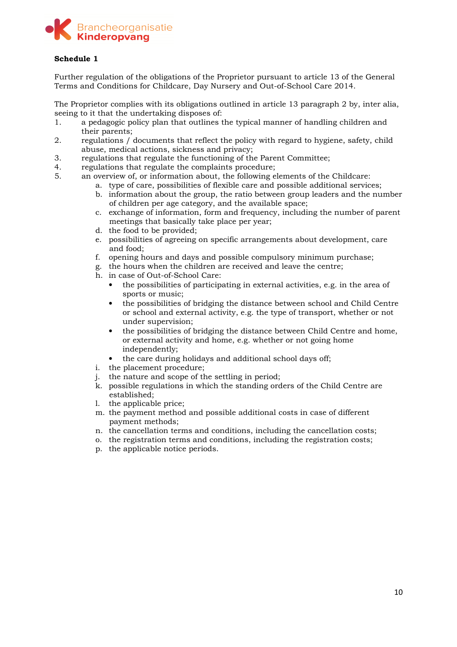

### **Schedule 1**

Further regulation of the obligations of the Proprietor pursuant to article 13 of the General Terms and Conditions for Childcare, Day Nursery and Out-of-School Care 2014.

The Proprietor complies with its obligations outlined in article 13 paragraph 2 by, inter alia, seeing to it that the undertaking disposes of:

- 1. a pedagogic policy plan that outlines the typical manner of handling children and their parents;
- 2. regulations / documents that reflect the policy with regard to hygiene, safety, child abuse, medical actions, sickness and privacy;
- 3. regulations that regulate the functioning of the Parent Committee;
- 4. regulations that regulate the complaints procedure;<br>5. an overview of or information about, the following e
	- 5. an overview of, or information about, the following elements of the Childcare:
		- a. type of care, possibilities of flexible care and possible additional services;
		- b. information about the group, the ratio between group leaders and the number of children per age category, and the available space;
		- c. exchange of information, form and frequency, including the number of parent meetings that basically take place per year;
		- d. the food to be provided;
		- e. possibilities of agreeing on specific arrangements about development, care and food;
		- f. opening hours and days and possible compulsory minimum purchase;
		- g. the hours when the children are received and leave the centre;
		- h. in case of Out-of-School Care:
			- the possibilities of participating in external activities, e.g. in the area of sports or music;
			- the possibilities of bridging the distance between school and Child Centre or school and external activity, e.g. the type of transport, whether or not under supervision;
			- the possibilities of bridging the distance between Child Centre and home, or external activity and home, e.g. whether or not going home independently;
			- the care during holidays and additional school days off;
		- i. the placement procedure;
		- j. the nature and scope of the settling in period;
		- k. possible regulations in which the standing orders of the Child Centre are established;
		- l. the applicable price;
		- m. the payment method and possible additional costs in case of different payment methods;
		- n. the cancellation terms and conditions, including the cancellation costs;
		- o. the registration terms and conditions, including the registration costs;
		- p. the applicable notice periods.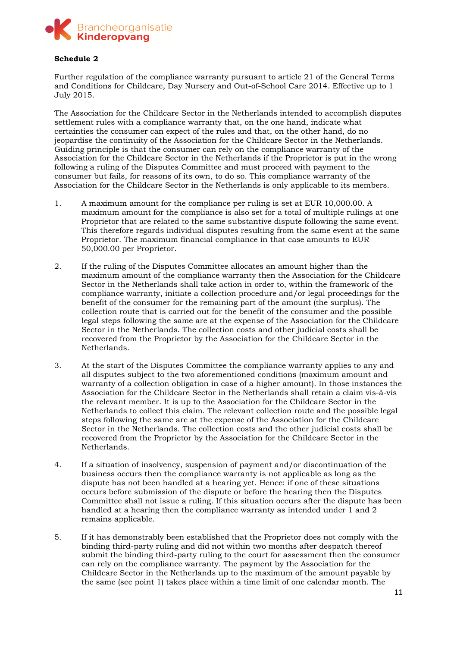

#### **Schedule 2**

Further regulation of the compliance warranty pursuant to article 21 of the General Terms and Conditions for Childcare, Day Nursery and Out-of-School Care 2014. Effective up to 1 July 2015.

The Association for the Childcare Sector in the Netherlands intended to accomplish disputes settlement rules with a compliance warranty that, on the one hand, indicate what certainties the consumer can expect of the rules and that, on the other hand, do no jeopardise the continuity of the Association for the Childcare Sector in the Netherlands. Guiding principle is that the consumer can rely on the compliance warranty of the Association for the Childcare Sector in the Netherlands if the Proprietor is put in the wrong following a ruling of the Disputes Committee and must proceed with payment to the consumer but fails, for reasons of its own, to do so. This compliance warranty of the Association for the Childcare Sector in the Netherlands is only applicable to its members.

- 1. A maximum amount for the compliance per ruling is set at EUR 10,000.00. A maximum amount for the compliance is also set for a total of multiple rulings at one Proprietor that are related to the same substantive dispute following the same event. This therefore regards individual disputes resulting from the same event at the same Proprietor. The maximum financial compliance in that case amounts to EUR 50,000.00 per Proprietor.
- 2. If the ruling of the Disputes Committee allocates an amount higher than the maximum amount of the compliance warranty then the Association for the Childcare Sector in the Netherlands shall take action in order to, within the framework of the compliance warranty, initiate a collection procedure and/or legal proceedings for the benefit of the consumer for the remaining part of the amount (the surplus). The collection route that is carried out for the benefit of the consumer and the possible legal steps following the same are at the expense of the Association for the Childcare Sector in the Netherlands. The collection costs and other judicial costs shall be recovered from the Proprietor by the Association for the Childcare Sector in the Netherlands.
- 3. At the start of the Disputes Committee the compliance warranty applies to any and all disputes subject to the two aforementioned conditions (maximum amount and warranty of a collection obligation in case of a higher amount). In those instances the Association for the Childcare Sector in the Netherlands shall retain a claim vis-à-vis the relevant member. It is up to the Association for the Childcare Sector in the Netherlands to collect this claim. The relevant collection route and the possible legal steps following the same are at the expense of the Association for the Childcare Sector in the Netherlands. The collection costs and the other judicial costs shall be recovered from the Proprietor by the Association for the Childcare Sector in the Netherlands.
- 4. If a situation of insolvency, suspension of payment and/or discontinuation of the business occurs then the compliance warranty is not applicable as long as the dispute has not been handled at a hearing yet. Hence: if one of these situations occurs before submission of the dispute or before the hearing then the Disputes Committee shall not issue a ruling. If this situation occurs after the dispute has been handled at a hearing then the compliance warranty as intended under 1 and 2 remains applicable.
- 5. If it has demonstrably been established that the Proprietor does not comply with the binding third-party ruling and did not within two months after despatch thereof submit the binding third-party ruling to the court for assessment then the consumer can rely on the compliance warranty. The payment by the Association for the Childcare Sector in the Netherlands up to the maximum of the amount payable by the same (see point 1) takes place within a time limit of one calendar month. The